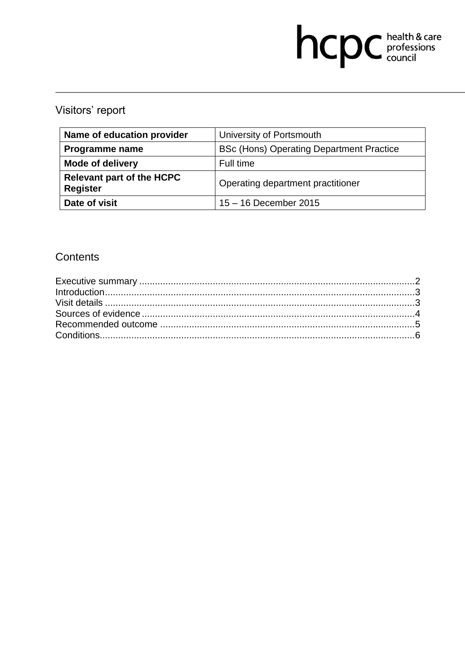# hcpc health & care

## Visitors' report

| Name of education provider                          | University of Portsmouth                        |
|-----------------------------------------------------|-------------------------------------------------|
| <b>Programme name</b>                               | <b>BSc (Hons) Operating Department Practice</b> |
| <b>Mode of delivery</b>                             | Full time                                       |
| <b>Relevant part of the HCPC</b><br><b>Register</b> | Operating department practitioner               |
| Date of visit                                       | 15 - 16 December 2015                           |

### **Contents**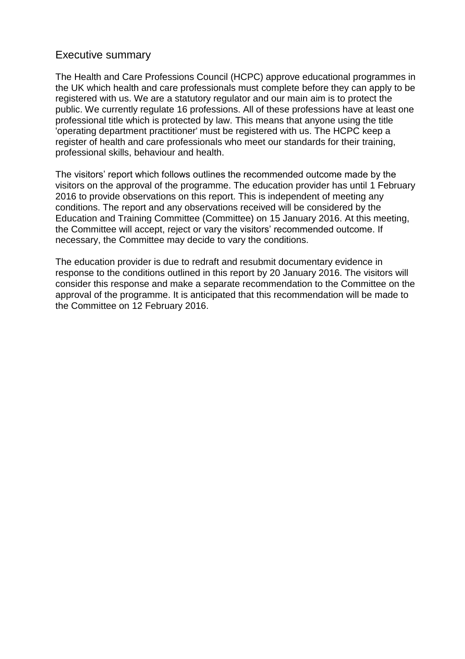#### Executive summary

The Health and Care Professions Council (HCPC) approve educational programmes in the UK which health and care professionals must complete before they can apply to be registered with us. We are a statutory regulator and our main aim is to protect the public. We currently regulate 16 professions. All of these professions have at least one professional title which is protected by law. This means that anyone using the title 'operating department practitioner' must be registered with us. The HCPC keep a register of health and care professionals who meet our standards for their training, professional skills, behaviour and health.

The visitors' report which follows outlines the recommended outcome made by the visitors on the approval of the programme. The education provider has until 1 February 2016 to provide observations on this report. This is independent of meeting any conditions. The report and any observations received will be considered by the Education and Training Committee (Committee) on 15 January 2016. At this meeting, the Committee will accept, reject or vary the visitors' recommended outcome. If necessary, the Committee may decide to vary the conditions.

The education provider is due to redraft and resubmit documentary evidence in response to the conditions outlined in this report by 20 January 2016. The visitors will consider this response and make a separate recommendation to the Committee on the approval of the programme. It is anticipated that this recommendation will be made to the Committee on 12 February 2016.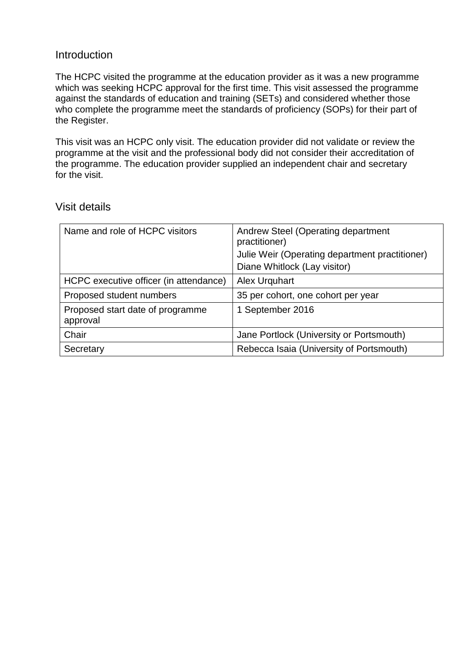#### **Introduction**

The HCPC visited the programme at the education provider as it was a new programme which was seeking HCPC approval for the first time. This visit assessed the programme against the standards of education and training (SETs) and considered whether those who complete the programme meet the standards of proficiency (SOPs) for their part of the Register.

This visit was an HCPC only visit. The education provider did not validate or review the programme at the visit and the professional body did not consider their accreditation of the programme. The education provider supplied an independent chair and secretary for the visit.

#### Visit details

| Name and role of HCPC visitors               | Andrew Steel (Operating department<br>practitioner)<br>Julie Weir (Operating department practitioner)<br>Diane Whitlock (Lay visitor) |
|----------------------------------------------|---------------------------------------------------------------------------------------------------------------------------------------|
| HCPC executive officer (in attendance)       | <b>Alex Urguhart</b>                                                                                                                  |
| Proposed student numbers                     | 35 per cohort, one cohort per year                                                                                                    |
| Proposed start date of programme<br>approval | 1 September 2016                                                                                                                      |
| Chair                                        | Jane Portlock (University or Portsmouth)                                                                                              |
| Secretary                                    | Rebecca Isaia (University of Portsmouth)                                                                                              |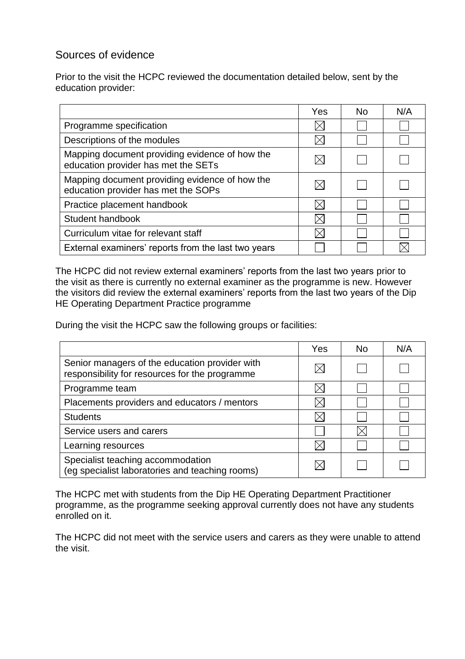#### Sources of evidence

Prior to the visit the HCPC reviewed the documentation detailed below, sent by the education provider:

|                                                                                       | Yes | No. | N/A |
|---------------------------------------------------------------------------------------|-----|-----|-----|
| Programme specification                                                               |     |     |     |
| Descriptions of the modules                                                           |     |     |     |
| Mapping document providing evidence of how the<br>education provider has met the SETs |     |     |     |
| Mapping document providing evidence of how the<br>education provider has met the SOPs |     |     |     |
| Practice placement handbook                                                           |     |     |     |
| Student handbook                                                                      |     |     |     |
| Curriculum vitae for relevant staff                                                   |     |     |     |
| External examiners' reports from the last two years                                   |     |     |     |

The HCPC did not review external examiners' reports from the last two years prior to the visit as there is currently no external examiner as the programme is new. However the visitors did review the external examiners' reports from the last two years of the Dip HE Operating Department Practice programme

During the visit the HCPC saw the following groups or facilities:

|                                                                                                  | Yes | No | N/A |
|--------------------------------------------------------------------------------------------------|-----|----|-----|
| Senior managers of the education provider with<br>responsibility for resources for the programme |     |    |     |
| Programme team                                                                                   |     |    |     |
| Placements providers and educators / mentors                                                     |     |    |     |
| <b>Students</b>                                                                                  |     |    |     |
| Service users and carers                                                                         |     |    |     |
| Learning resources                                                                               |     |    |     |
| Specialist teaching accommodation<br>(eg specialist laboratories and teaching rooms)             |     |    |     |

The HCPC met with students from the Dip HE Operating Department Practitioner programme, as the programme seeking approval currently does not have any students enrolled on it.

The HCPC did not meet with the service users and carers as they were unable to attend the visit.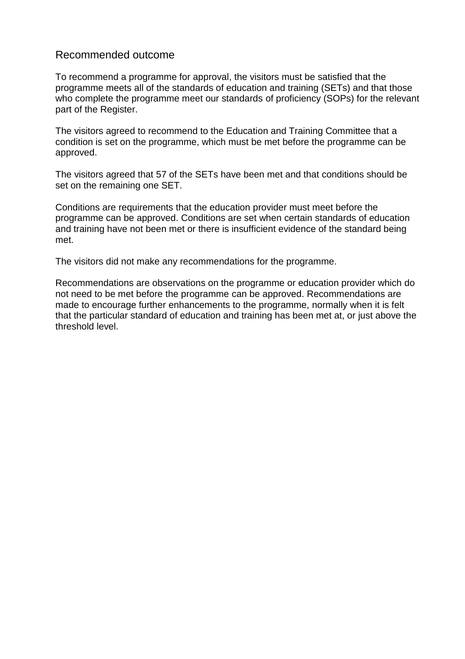#### Recommended outcome

To recommend a programme for approval, the visitors must be satisfied that the programme meets all of the standards of education and training (SETs) and that those who complete the programme meet our standards of proficiency (SOPs) for the relevant part of the Register.

The visitors agreed to recommend to the Education and Training Committee that a condition is set on the programme, which must be met before the programme can be approved.

The visitors agreed that 57 of the SETs have been met and that conditions should be set on the remaining one SET.

Conditions are requirements that the education provider must meet before the programme can be approved. Conditions are set when certain standards of education and training have not been met or there is insufficient evidence of the standard being met.

The visitors did not make any recommendations for the programme.

Recommendations are observations on the programme or education provider which do not need to be met before the programme can be approved. Recommendations are made to encourage further enhancements to the programme, normally when it is felt that the particular standard of education and training has been met at, or just above the threshold level.